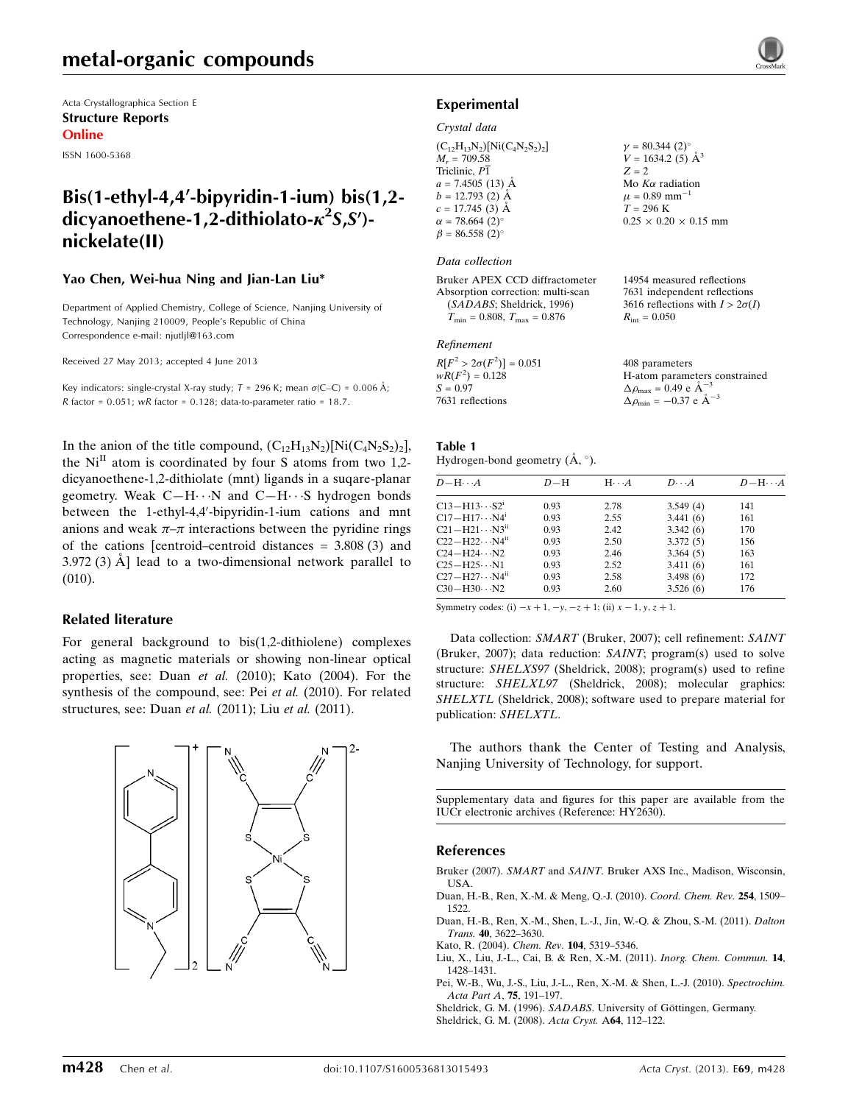Acta Crystallographica Section E Structure Reports Online

ISSN 1600-5368

## Bis(1-ethyl-4,4'-bipyridin-1-ium) bis(1,2dicyanoethene-1,2-dithiolato- $\kappa^2$ S,S')nickelate(II)

#### Yao Chen, Wei-hua Ning and Jian-Lan Liu\*

Department of Applied Chemistry, College of Science, Nanjing University of Technology, Nanjing 210009, People's Republic of China Correspondence e-mail: [njutljl@163.com](https://scripts.iucr.org/cgi-bin/cr.cgi?rm=pdfbb&cnor=hy2630&bbid=BB8)

Received 27 May 2013; accepted 4 June 2013

Key indicators: single-crystal X-ray study;  $T = 296$  K; mean  $\sigma$ (C–C) = 0.006 Å; R factor =  $0.051$ ; wR factor =  $0.128$ ; data-to-parameter ratio = 18.7.

In the anion of the title compound,  $(C_{12}H_{13}N_2)[Ni(C_4N_2S_2)_2]$ , the  $Ni<sup>II</sup>$  atom is coordinated by four S atoms from two 1,2dicyanoethene-1,2-dithiolate (mnt) ligands in a suqare-planar geometry. Weak C-H $\cdots$ N and C-H $\cdots$ S hydrogen bonds between the 1-ethyl-4,4'-bipyridin-1-ium cations and mnt anions and weak  $\pi-\pi$  interactions between the pyridine rings of the cations [centroid–centroid distances = 3.808 (3) and 3.972 (3)  $\AA$  ] lead to a two-dimensional network parallel to (010).

#### Related literature

For general background to bis(1,2-dithiolene) complexes acting as magnetic materials or showing non-linear optical properties, see: Duan et al. (2010); Kato (2004). For the synthesis of the compound, see: Pei et al. (2010). For related structures, see: Duan et al. (2011); Liu et al. (2011).



#### Experimental

#### Crystal data

 $(C_{12}H_{13}N_2)[Ni(C_4N_2S_2)_2]$  $M_r = 709.58$ Triclinic,  $P\overline{1}$  $a = 7.4505(13)$  Å  $b = 12.793(2)$  Å  $c = 17.745(3)$  Å  $\alpha = 78.664 \ (2)^{\circ}$  $\beta = 86.558 (2)$ °  $v = 80.344 (2)$ °  $V = 1634.2$  (5)  $\AA^3$  $Z = 2$ Mo  $K\alpha$  radiation  $\mu = 0.89$  mm<sup>-1</sup>  $T = 296$  K  $0.25 \times 0.20 \times 0.15$  mm

#### Data collection

Bruker APEX CCD diffractometer Absorption correction: multi-scan (SADABS; Sheldrick, 1996)  $T_{\text{min}} = 0.808$ ,  $T_{\text{max}} = 0.876$ 

#### Refinement

| $R[F^2 > 2\sigma(F^2)] = 0.051$ |  |
|---------------------------------|--|
| $wR(F^2) = 0.128$               |  |
| $S = 0.97$                      |  |
| 7631 reflections                |  |

Table 1 Hydrogen-bond geometry  $(\AA, \degree)$ .

| $D - H \cdots A$                   | $D-H$ | $H \cdot \cdot \cdot A$ | $D\cdot\cdot\cdot A$ | $D - H \cdots A$ |
|------------------------------------|-------|-------------------------|----------------------|------------------|
| $C13 - H13 \cdots S2^i$            | 0.93  | 2.78                    | 3.549(4)             | 141              |
| $C17 - H17 \cdots N4$ <sup>1</sup> | 0.93  | 2.55                    | 3.441(6)             | 161              |
| $C21 - H21 \cdots N3^{11}$         | 0.93  | 2.42                    | 3.342(6)             | 170              |
| $C22-H22\cdots N4^{ii}$            | 0.93  | 2.50                    | 3.372(5)             | 156              |
| $C24 - H24 \cdots N2$              | 0.93  | 2.46                    | 3.364(5)             | 163              |
| $C25 - H25 \cdots N1$              | 0.93  | 2.52                    | 3.411(6)             | 161              |
| $C27 - H27 \cdots N4^{ii}$         | 0.93  | 2.58                    | 3.498(6)             | 172              |
| $C30 - H30 \cdots N2$              | 0.93  | 2.60                    | 3.526(6)             | 176              |

14954 measured reflections 7631 independent reflections 3616 reflections with  $I > 2\sigma(I)$ 

H-atom parameters constrained

 $R_{\text{int}} = 0.050$ 

408 parameters

 $\Delta \rho_{\text{max}} = 0.49 \text{ e A}^{-3}$  $\Delta \rho_{\text{min}} = -0.37 \text{ e } \text{\AA}^{-3}$ 

Symmetry codes: (i)  $-x + 1$ ,  $-y$ ,  $-z + 1$ ; (ii)  $x - 1$ ,  $y$ ,  $z + 1$ .

Data collection: SMART (Bruker, 2007); cell refinement: SAINT (Bruker, 2007); data reduction: SAINT; program(s) used to solve structure: SHELXS97 (Sheldrick, 2008); program(s) used to refine structure: SHELXL97 (Sheldrick, 2008); molecular graphics: SHELXTL (Sheldrick, 2008); software used to prepare material for publication: SHELXTL.

The authors thank the Center of Testing and Analysis, Nanjing University of Technology, for support.

Supplementary data and figures for this paper are available from the IUCr electronic archives (Reference: HY2630).

#### References

- Bruker (2007). SMART and SAINT[. Bruker AXS Inc., Madison, Wisconsin,](https://scripts.iucr.org/cgi-bin/cr.cgi?rm=pdfbb&cnor=hy2630&bbid=BB1) [USA.](https://scripts.iucr.org/cgi-bin/cr.cgi?rm=pdfbb&cnor=hy2630&bbid=BB1)
- [Duan, H.-B., Ren, X.-M. & Meng, Q.-J. \(2010\).](https://scripts.iucr.org/cgi-bin/cr.cgi?rm=pdfbb&cnor=hy2630&bbid=BB2) Coord. Chem. Rev. 254, 1509– [1522.](https://scripts.iucr.org/cgi-bin/cr.cgi?rm=pdfbb&cnor=hy2630&bbid=BB2)
- [Duan, H.-B., Ren, X.-M., Shen, L.-J., Jin, W.-Q. & Zhou, S.-M. \(2011\).](https://scripts.iucr.org/cgi-bin/cr.cgi?rm=pdfbb&cnor=hy2630&bbid=BB3) Dalton Trans. 40[, 3622–3630.](https://scripts.iucr.org/cgi-bin/cr.cgi?rm=pdfbb&cnor=hy2630&bbid=BB3)
- [Kato, R. \(2004\).](https://scripts.iucr.org/cgi-bin/cr.cgi?rm=pdfbb&cnor=hy2630&bbid=BB4) Chem. Rev. 104, 5319–5346.
- [Liu, X., Liu, J.-L., Cai, B. & Ren, X.-M. \(2011\).](https://scripts.iucr.org/cgi-bin/cr.cgi?rm=pdfbb&cnor=hy2630&bbid=BB5) Inorg. Chem. Commun. 14, [1428–1431.](https://scripts.iucr.org/cgi-bin/cr.cgi?rm=pdfbb&cnor=hy2630&bbid=BB5)
- [Pei, W.-B., Wu, J.-S., Liu, J.-L., Ren, X.-M. & Shen, L.-J. \(2010\).](https://scripts.iucr.org/cgi-bin/cr.cgi?rm=pdfbb&cnor=hy2630&bbid=BB6) Spectrochim. [Acta Part A](https://scripts.iucr.org/cgi-bin/cr.cgi?rm=pdfbb&cnor=hy2630&bbid=BB6), 75, 191–197.

Sheldrick, G. M. (1996). SADABS. University of Göttingen, Germany. [Sheldrick, G. M. \(2008\).](https://scripts.iucr.org/cgi-bin/cr.cgi?rm=pdfbb&cnor=hy2630&bbid=BB8) Acta Cryst. A64, 112–122.

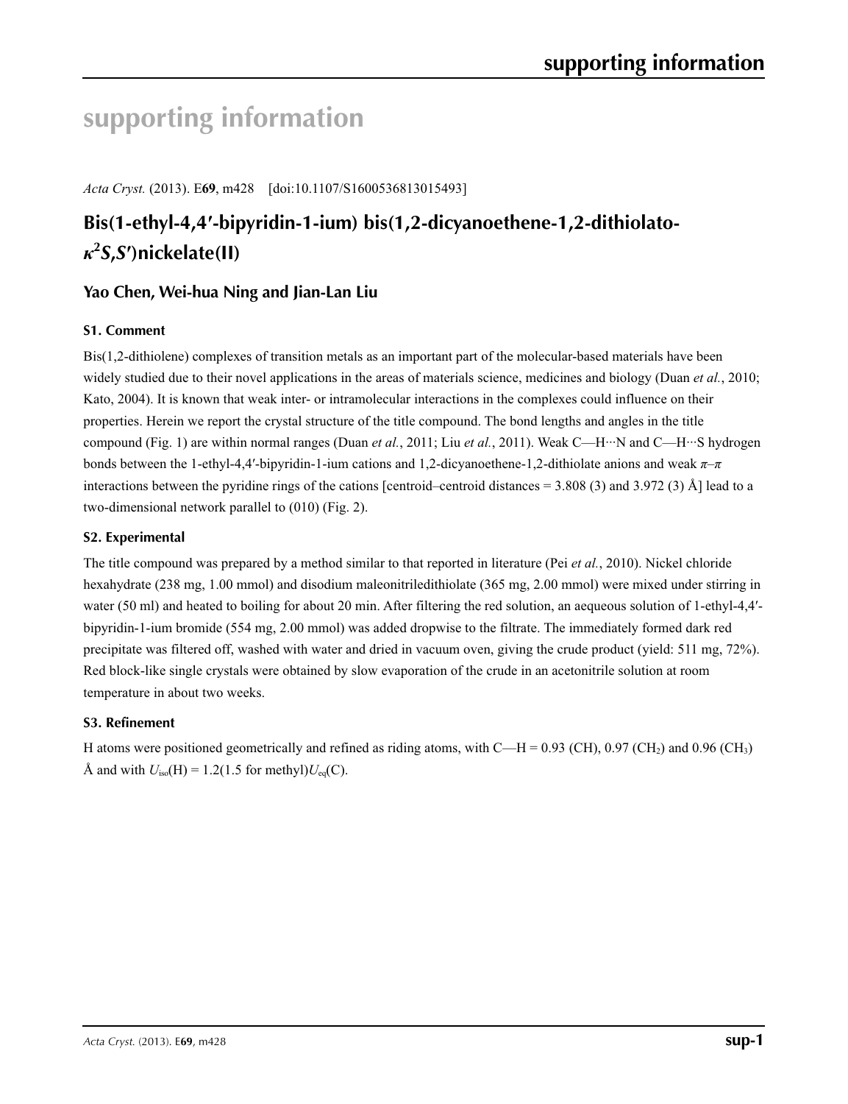# **supporting information**

*Acta Cryst.* (2013). E**69**, m428 [doi:10.1107/S1600536813015493]

## **Bis(1-ethyl-4,4′-bipyridin-1-ium) bis(1,2-dicyanoethene-1,2-dithiolato***κ***2** *S***,***S***′)nickelate(II)**

## **Yao Chen, Wei-hua Ning and Jian-Lan Liu**

## **S1. Comment**

Bis(1,2-dithiolene) complexes of transition metals as an important part of the molecular-based materials have been widely studied due to their novel applications in the areas of materials science, medicines and biology (Duan *et al.*, 2010; Kato, 2004). It is known that weak inter- or intramolecular interactions in the complexes could influence on their properties. Herein we report the crystal structure of the title compound. The bond lengths and angles in the title compound (Fig. 1) are within normal ranges (Duan et al., 2011; Liu et al., 2011). Weak C—H···N and C—H···S hydrogen bonds between the 1-ethyl-4,4′-bipyridin-1-ium cations and 1,2-dicyanoethene-1,2-dithiolate anions and weak *π*–*π* interactions between the pyridine rings of the cations [centroid–centroid distances = 3.808 (3) and 3.972 (3) Å] lead to a two-dimensional network parallel to (010) (Fig. 2).

## **S2. Experimental**

The title compound was prepared by a method similar to that reported in literature (Pei *et al.*, 2010). Nickel chloride hexahydrate (238 mg, 1.00 mmol) and disodium maleonitriledithiolate (365 mg, 2.00 mmol) were mixed under stirring in water (50 ml) and heated to boiling for about 20 min. After filtering the red solution, an aequeous solution of 1-ethyl-4,4'bipyridin-1-ium bromide (554 mg, 2.00 mmol) was added dropwise to the filtrate. The immediately formed dark red precipitate was filtered off, washed with water and dried in vacuum oven, giving the crude product (yield: 511 mg, 72%). Red block-like single crystals were obtained by slow evaporation of the crude in an acetonitrile solution at room temperature in about two weeks.

#### **S3. Refinement**

H atoms were positioned geometrically and refined as riding atoms, with  $C-H = 0.93$  (CH), 0.97 (CH<sub>2</sub>) and 0.96 (CH<sub>3</sub>) Å and with  $U_{\text{iso}}(H) = 1.2(1.5$  for methyl) $U_{\text{eq}}(C)$ .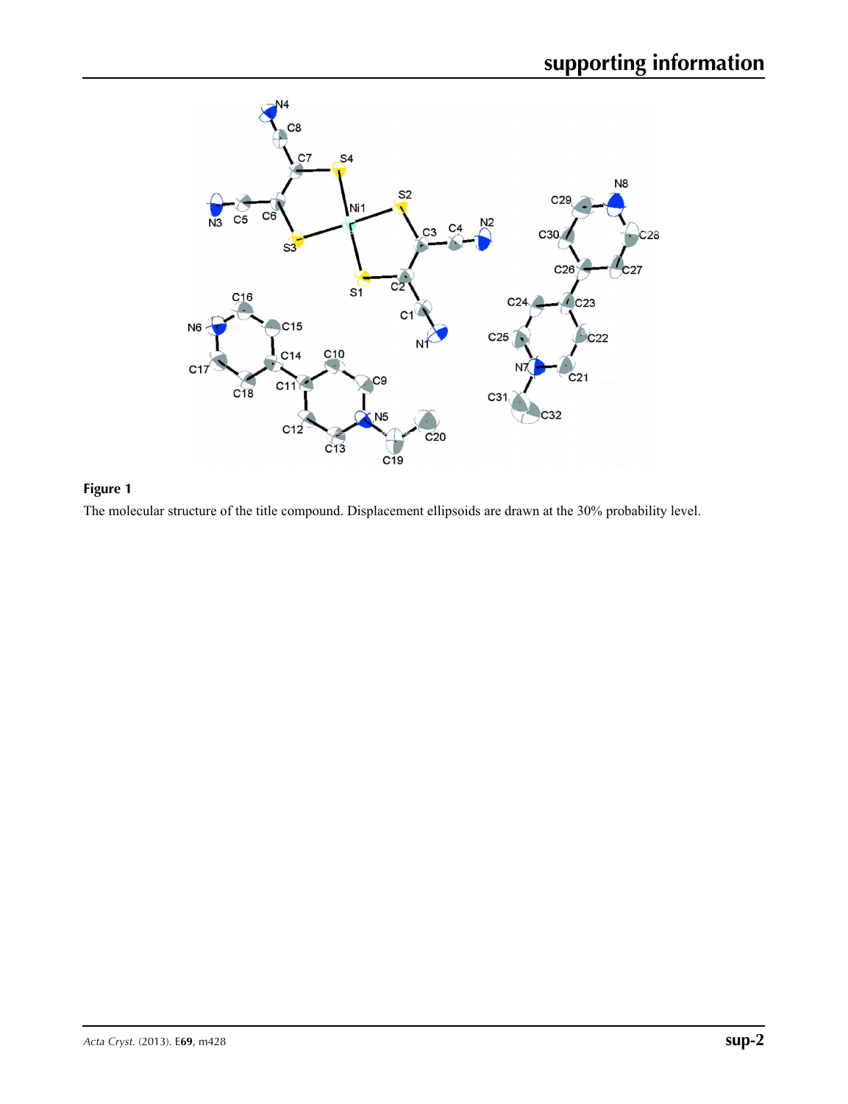

**Figure 1**

The molecular structure of the title compound. Displacement ellipsoids are drawn at the 30% probability level.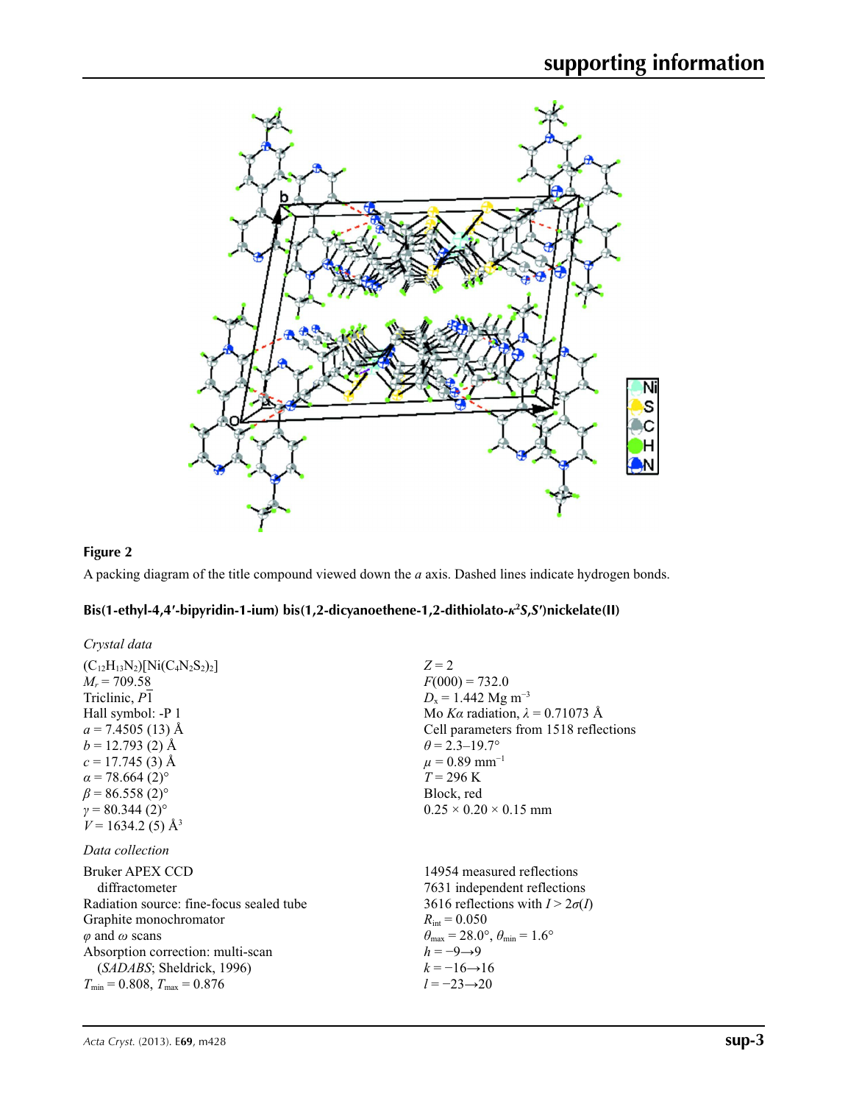

## **Figure 2**

A packing diagram of the title compound viewed down the *a* axis. Dashed lines indicate hydrogen bonds.

### **Bis(1-ethyl-4,4′-bipyridin-1-ium) bis(1,2-dicyanoethene-1,2-dithiolato-***κ***<sup>2</sup>** *S***,***S***′)nickelate(II)**

| Crystal data                                                                                                                                                                                                                                                           |                                                                                                                                                                                                                                                                                                  |
|------------------------------------------------------------------------------------------------------------------------------------------------------------------------------------------------------------------------------------------------------------------------|--------------------------------------------------------------------------------------------------------------------------------------------------------------------------------------------------------------------------------------------------------------------------------------------------|
| $(C_{12}H_{13}N_2)[Ni(C_4N_2S_2)_2]$<br>$M_r = 709.58$<br>Triclinic, P1<br>Hall symbol: -P 1<br>$a = 7.4505(13)$ Å<br>$b = 12.793(2)$ Å                                                                                                                                | $Z=2$<br>$F(000) = 732.0$<br>$D_x = 1.442$ Mg m <sup>-3</sup><br>Mo Ka radiation, $\lambda = 0.71073$ Å<br>Cell parameters from 1518 reflections<br>$\theta$ = 2.3–19.7°                                                                                                                         |
| $c = 17.745(3)$ Å<br>$\alpha$ = 78.664 (2) <sup>o</sup><br>$\beta$ = 86.558 (2) <sup>o</sup><br>$v = 80.344(2)$ °<br>$V = 1634.2$ (5) Å <sup>3</sup>                                                                                                                   | $\mu = 0.89$ mm <sup>-1</sup><br>$T = 296 \text{ K}$<br>Block, red<br>$0.25 \times 0.20 \times 0.15$ mm                                                                                                                                                                                          |
| Data collection<br>Bruker APEX CCD<br>diffractometer<br>Radiation source: fine-focus sealed tube<br>Graphite monochromator<br>$\varphi$ and $\omega$ scans<br>Absorption correction: multi-scan<br>(SADABS; Sheldrick, 1996)<br>$T_{\min}$ = 0.808, $T_{\max}$ = 0.876 | 14954 measured reflections<br>7631 independent reflections<br>3616 reflections with $I > 2\sigma(I)$<br>$R_{\text{int}} = 0.050$<br>$\theta_{\text{max}} = 28.0^{\circ}$ , $\theta_{\text{min}} = 1.6^{\circ}$<br>$h = -9 \rightarrow 9$<br>$k = -16 \rightarrow 16$<br>$l = -23 \rightarrow 20$ |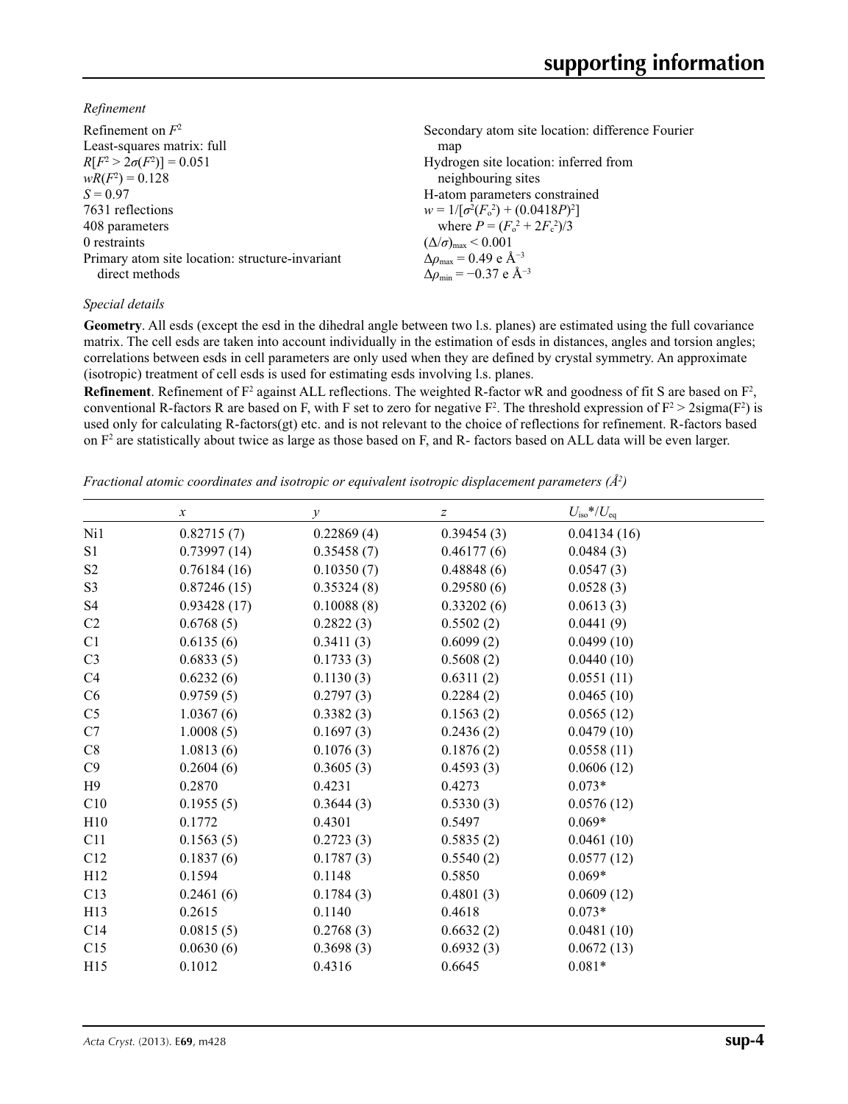*Refinement*

| Refinement on $F^2$                             | Secondary atom site location: difference Fourier   |
|-------------------------------------------------|----------------------------------------------------|
| Least-squares matrix: full                      | map                                                |
| $R[F^2 > 2\sigma(F^2)] = 0.051$                 | Hydrogen site location: inferred from              |
| $wR(F^2) = 0.128$                               | neighbouring sites                                 |
| $S = 0.97$                                      | H-atom parameters constrained                      |
| 7631 reflections                                | $w = 1/[\sigma^2(F_0^2) + (0.0418P)^2]$            |
| 408 parameters                                  | where $P = (F_0^2 + 2F_c^2)/3$                     |
| 0 restraints                                    | $(\Delta/\sigma)_{\text{max}}$ < 0.001             |
| Primary atom site location: structure-invariant | $\Delta \rho_{\text{max}} = 0.49 \text{ e A}^{-3}$ |
| direct methods                                  | $\Delta\rho_{\rm min} = -0.37 \text{ e A}^{-3}$    |

#### *Special details*

**Geometry**. All esds (except the esd in the dihedral angle between two l.s. planes) are estimated using the full covariance matrix. The cell esds are taken into account individually in the estimation of esds in distances, angles and torsion angles; correlations between esds in cell parameters are only used when they are defined by crystal symmetry. An approximate (isotropic) treatment of cell esds is used for estimating esds involving l.s. planes.

**Refinement**. Refinement of  $F^2$  against ALL reflections. The weighted R-factor wR and goodness of fit S are based on  $F^2$ , conventional R-factors R are based on F, with F set to zero for negative  $F^2$ . The threshold expression of  $F^2 > 2 \text{sigma}(F^2)$  is used only for calculating R-factors(gt) etc. and is not relevant to the choice of reflections for refinement. R-factors based on  $F<sup>2</sup>$  are statistically about twice as large as those based on F, and R- factors based on ALL data will be even larger.

*Fractional atomic coordinates and isotropic or equivalent isotropic displacement parameters (Å<sup>2</sup>)* 

|                 | $\boldsymbol{x}$ | $\mathcal{Y}$ | $\boldsymbol{Z}$ | $U_{\rm iso}$ */ $U_{\rm eq}$ |  |
|-----------------|------------------|---------------|------------------|-------------------------------|--|
| Ni1             | 0.82715(7)       | 0.22869(4)    | 0.39454(3)       | 0.04134(16)                   |  |
| S <sub>1</sub>  | 0.73997(14)      | 0.35458(7)    | 0.46177(6)       | 0.0484(3)                     |  |
| S <sub>2</sub>  | 0.76184(16)      | 0.10350(7)    | 0.48848(6)       | 0.0547(3)                     |  |
| S <sub>3</sub>  | 0.87246(15)      | 0.35324(8)    | 0.29580(6)       | 0.0528(3)                     |  |
| S <sub>4</sub>  | 0.93428(17)      | 0.10088(8)    | 0.33202(6)       | 0.0613(3)                     |  |
| C2              | 0.6768(5)        | 0.2822(3)     | 0.5502(2)        | 0.0441(9)                     |  |
| C1              | 0.6135(6)        | 0.3411(3)     | 0.6099(2)        | 0.0499(10)                    |  |
| C <sub>3</sub>  | 0.6833(5)        | 0.1733(3)     | 0.5608(2)        | 0.0440(10)                    |  |
| C <sub>4</sub>  | 0.6232(6)        | 0.1130(3)     | 0.6311(2)        | 0.0551(11)                    |  |
| C6              | 0.9759(5)        | 0.2797(3)     | 0.2284(2)        | 0.0465(10)                    |  |
| C <sub>5</sub>  | 1.0367(6)        | 0.3382(3)     | 0.1563(2)        | 0.0565(12)                    |  |
| C7              | 1.0008(5)        | 0.1697(3)     | 0.2436(2)        | 0.0479(10)                    |  |
| C8              | 1.0813(6)        | 0.1076(3)     | 0.1876(2)        | 0.0558(11)                    |  |
| C9              | 0.2604(6)        | 0.3605(3)     | 0.4593(3)        | 0.0606(12)                    |  |
| H9              | 0.2870           | 0.4231        | 0.4273           | $0.073*$                      |  |
| C10             | 0.1955(5)        | 0.3644(3)     | 0.5330(3)        | 0.0576(12)                    |  |
| H10             | 0.1772           | 0.4301        | 0.5497           | $0.069*$                      |  |
| C11             | 0.1563(5)        | 0.2723(3)     | 0.5835(2)        | 0.0461(10)                    |  |
| C12             | 0.1837(6)        | 0.1787(3)     | 0.5540(2)        | 0.0577(12)                    |  |
| H12             | 0.1594           | 0.1148        | 0.5850           | $0.069*$                      |  |
| C13             | 0.2461(6)        | 0.1784(3)     | 0.4801(3)        | 0.0609(12)                    |  |
| H <sub>13</sub> | 0.2615           | 0.1140        | 0.4618           | $0.073*$                      |  |
| C14             | 0.0815(5)        | 0.2768(3)     | 0.6632(2)        | 0.0481(10)                    |  |
| C15             | 0.0630(6)        | 0.3698(3)     | 0.6932(3)        | 0.0672(13)                    |  |
| H15             | 0.1012           | 0.4316        | 0.6645           | $0.081*$                      |  |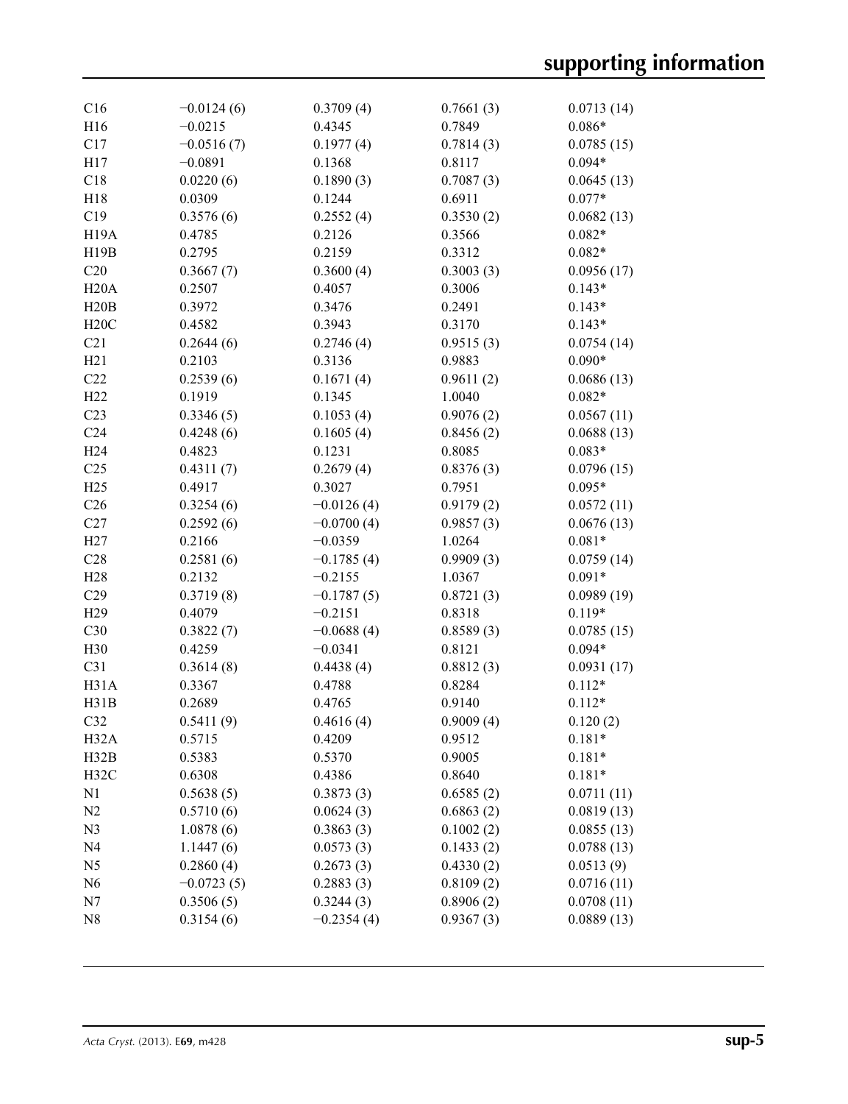| C16               | $-0.0124(6)$ | 0.3709(4)    | 0.7661(3) | 0.0713(14) |
|-------------------|--------------|--------------|-----------|------------|
| H16               | $-0.0215$    | 0.4345       | 0.7849    | $0.086*$   |
| C17               | $-0.0516(7)$ | 0.1977(4)    | 0.7814(3) | 0.0785(15) |
| H17               | $-0.0891$    | 0.1368       | 0.8117    | $0.094*$   |
| C18               | 0.0220(6)    | 0.1890(3)    | 0.7087(3) | 0.0645(13) |
| H18               | 0.0309       | 0.1244       | 0.6911    | $0.077*$   |
| C19               | 0.3576(6)    | 0.2552(4)    | 0.3530(2) | 0.0682(13) |
| H <sub>19</sub> A | 0.4785       | 0.2126       | 0.3566    | $0.082*$   |
| H19B              | 0.2795       | 0.2159       | 0.3312    | $0.082*$   |
| C20               | 0.3667(7)    | 0.3600(4)    | 0.3003(3) | 0.0956(17) |
| H20A              | 0.2507       | 0.4057       | 0.3006    | $0.143*$   |
| H20B              | 0.3972       | 0.3476       | 0.2491    | $0.143*$   |
| H20C              | 0.4582       | 0.3943       | 0.3170    | $0.143*$   |
| C21               | 0.2644(6)    | 0.2746(4)    | 0.9515(3) | 0.0754(14) |
| H21               | 0.2103       | 0.3136       | 0.9883    | $0.090*$   |
| C22               | 0.2539(6)    | 0.1671(4)    | 0.9611(2) | 0.0686(13) |
| H22               | 0.1919       | 0.1345       | 1.0040    | $0.082*$   |
|                   |              |              |           |            |
| C23               | 0.3346(5)    | 0.1053(4)    | 0.9076(2) | 0.0567(11) |
| C <sub>24</sub>   | 0.4248(6)    | 0.1605(4)    | 0.8456(2) | 0.0688(13) |
| H <sub>24</sub>   | 0.4823       | 0.1231       | 0.8085    | $0.083*$   |
| C <sub>25</sub>   | 0.4311(7)    | 0.2679(4)    | 0.8376(3) | 0.0796(15) |
| H25               | 0.4917       | 0.3027       | 0.7951    | $0.095*$   |
| C <sub>26</sub>   | 0.3254(6)    | $-0.0126(4)$ | 0.9179(2) | 0.0572(11) |
| C27               | 0.2592(6)    | $-0.0700(4)$ | 0.9857(3) | 0.0676(13) |
| H27               | 0.2166       | $-0.0359$    | 1.0264    | $0.081*$   |
| C28               | 0.2581(6)    | $-0.1785(4)$ | 0.9909(3) | 0.0759(14) |
| H <sub>28</sub>   | 0.2132       | $-0.2155$    | 1.0367    | $0.091*$   |
| C29               | 0.3719(8)    | $-0.1787(5)$ | 0.8721(3) | 0.0989(19) |
| H <sub>29</sub>   | 0.4079       | $-0.2151$    | 0.8318    | $0.119*$   |
| C30               | 0.3822(7)    | $-0.0688(4)$ | 0.8589(3) | 0.0785(15) |
| H30               | 0.4259       | $-0.0341$    | 0.8121    | $0.094*$   |
| C31               | 0.3614(8)    | 0.4438(4)    | 0.8812(3) | 0.0931(17) |
| H31A              | 0.3367       | 0.4788       | 0.8284    | $0.112*$   |
| H31B              | 0.2689       | 0.4765       | 0.9140    | $0.112*$   |
| C <sub>32</sub>   | 0.5411(9)    | 0.4616(4)    | 0.9009(4) | 0.120(2)   |
| H <sub>32</sub> A | 0.5715       | 0.4209       | 0.9512    | $0.181*$   |
| H32B              | 0.5383       | 0.5370       | 0.9005    | $0.181*$   |
| H32C              | 0.6308       | 0.4386       | 0.8640    | $0.181*$   |
| N1                | 0.5638(5)    | 0.3873(3)    | 0.6585(2) | 0.0711(11) |
| N <sub>2</sub>    | 0.5710(6)    | 0.0624(3)    | 0.6863(2) | 0.0819(13) |
| N <sub>3</sub>    | 1.0878(6)    | 0.3863(3)    | 0.1002(2) | 0.0855(13) |
| N <sub>4</sub>    | 1.1447(6)    | 0.0573(3)    | 0.1433(2) | 0.0788(13) |
| N <sub>5</sub>    | 0.2860(4)    | 0.2673(3)    | 0.4330(2) | 0.0513(9)  |
| N <sub>6</sub>    | $-0.0723(5)$ | 0.2883(3)    | 0.8109(2) | 0.0716(11) |
| N7                | 0.3506(5)    | 0.3244(3)    | 0.8906(2) | 0.0708(11) |
| N <sub>8</sub>    | 0.3154(6)    | $-0.2354(4)$ | 0.9367(3) | 0.0889(13) |
|                   |              |              |           |            |
|                   |              |              |           |            |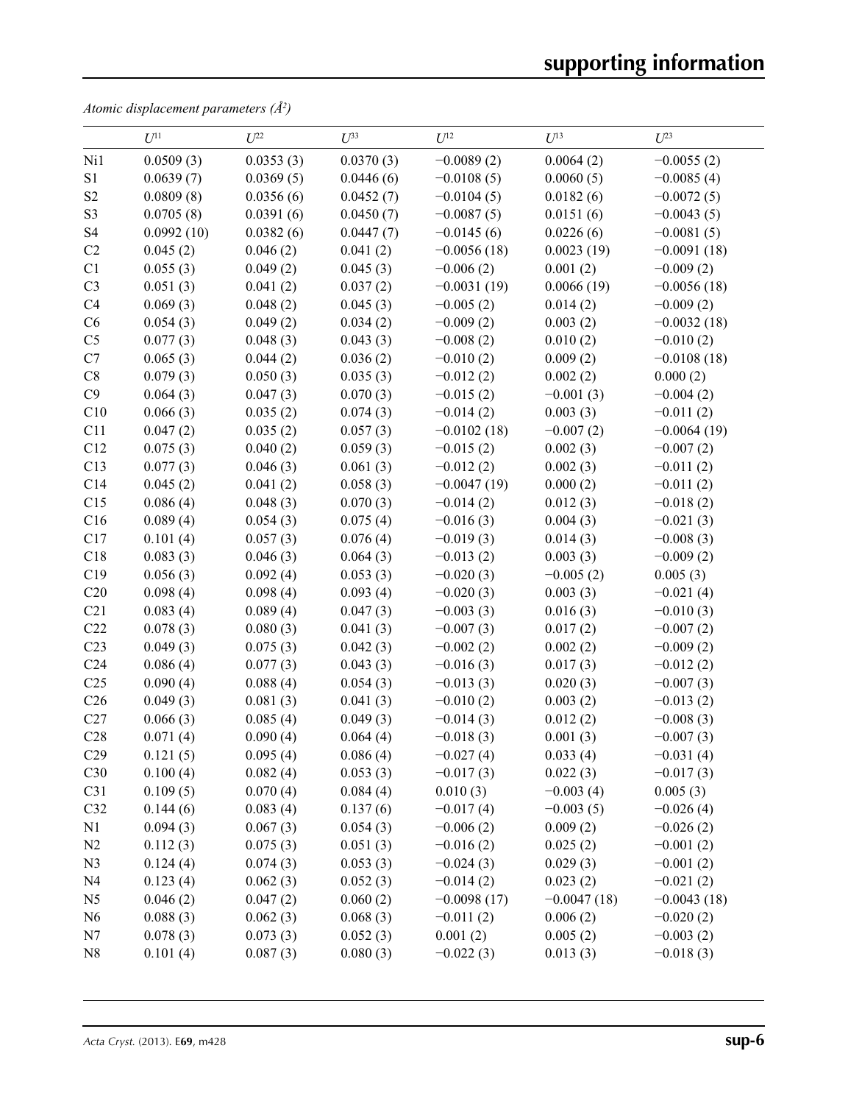*Atomic displacement parameters (Å2 )*

|                 | $U^{11}$   | $U^{22}$  | $U^{33}$  | $U^{12}$      | $U^{13}$      | $U^{23}$      |
|-----------------|------------|-----------|-----------|---------------|---------------|---------------|
| Ni1             | 0.0509(3)  | 0.0353(3) | 0.0370(3) | $-0.0089(2)$  | 0.0064(2)     | $-0.0055(2)$  |
| S <sub>1</sub>  | 0.0639(7)  | 0.0369(5) | 0.0446(6) | $-0.0108(5)$  | 0.0060(5)     | $-0.0085(4)$  |
| S <sub>2</sub>  | 0.0809(8)  | 0.0356(6) | 0.0452(7) | $-0.0104(5)$  | 0.0182(6)     | $-0.0072(5)$  |
| S <sub>3</sub>  | 0.0705(8)  | 0.0391(6) | 0.0450(7) | $-0.0087(5)$  | 0.0151(6)     | $-0.0043(5)$  |
| S <sub>4</sub>  | 0.0992(10) | 0.0382(6) | 0.0447(7) | $-0.0145(6)$  | 0.0226(6)     | $-0.0081(5)$  |
| C2              | 0.045(2)   | 0.046(2)  | 0.041(2)  | $-0.0056(18)$ | 0.0023(19)    | $-0.0091(18)$ |
| C1              | 0.055(3)   | 0.049(2)  | 0.045(3)  | $-0.006(2)$   | 0.001(2)      | $-0.009(2)$   |
| C <sub>3</sub>  | 0.051(3)   | 0.041(2)  | 0.037(2)  | $-0.0031(19)$ | 0.0066(19)    | $-0.0056(18)$ |
| C4              | 0.069(3)   | 0.048(2)  | 0.045(3)  | $-0.005(2)$   | 0.014(2)      | $-0.009(2)$   |
| C6              | 0.054(3)   | 0.049(2)  | 0.034(2)  | $-0.009(2)$   | 0.003(2)      | $-0.0032(18)$ |
| C <sub>5</sub>  | 0.077(3)   | 0.048(3)  | 0.043(3)  | $-0.008(2)$   | 0.010(2)      | $-0.010(2)$   |
| C7              | 0.065(3)   | 0.044(2)  | 0.036(2)  | $-0.010(2)$   | 0.009(2)      | $-0.0108(18)$ |
| $\rm{C}8$       | 0.079(3)   | 0.050(3)  | 0.035(3)  | $-0.012(2)$   | 0.002(2)      | 0.000(2)      |
| C9              | 0.064(3)   | 0.047(3)  | 0.070(3)  | $-0.015(2)$   | $-0.001(3)$   | $-0.004(2)$   |
| C10             | 0.066(3)   | 0.035(2)  | 0.074(3)  | $-0.014(2)$   | 0.003(3)      | $-0.011(2)$   |
| C11             | 0.047(2)   | 0.035(2)  | 0.057(3)  | $-0.0102(18)$ | $-0.007(2)$   | $-0.0064(19)$ |
| C12             | 0.075(3)   | 0.040(2)  | 0.059(3)  | $-0.015(2)$   | 0.002(3)      | $-0.007(2)$   |
| C13             | 0.077(3)   | 0.046(3)  | 0.061(3)  | $-0.012(2)$   | 0.002(3)      | $-0.011(2)$   |
| C14             | 0.045(2)   | 0.041(2)  | 0.058(3)  | $-0.0047(19)$ | 0.000(2)      | $-0.011(2)$   |
| C15             | 0.086(4)   | 0.048(3)  | 0.070(3)  | $-0.014(2)$   | 0.012(3)      | $-0.018(2)$   |
| C16             | 0.089(4)   | 0.054(3)  | 0.075(4)  | $-0.016(3)$   | 0.004(3)      | $-0.021(3)$   |
| C17             | 0.101(4)   | 0.057(3)  | 0.076(4)  | $-0.019(3)$   | 0.014(3)      | $-0.008(3)$   |
| C18             | 0.083(3)   | 0.046(3)  | 0.064(3)  | $-0.013(2)$   | 0.003(3)      | $-0.009(2)$   |
| C19             | 0.056(3)   | 0.092(4)  | 0.053(3)  | $-0.020(3)$   | $-0.005(2)$   | 0.005(3)      |
| C20             | 0.098(4)   | 0.098(4)  | 0.093(4)  | $-0.020(3)$   | 0.003(3)      | $-0.021(4)$   |
| C21             | 0.083(4)   | 0.089(4)  | 0.047(3)  | $-0.003(3)$   | 0.016(3)      | $-0.010(3)$   |
| C22             | 0.078(3)   | 0.080(3)  | 0.041(3)  | $-0.007(3)$   | 0.017(2)      | $-0.007(2)$   |
| C <sub>23</sub> | 0.049(3)   | 0.075(3)  | 0.042(3)  | $-0.002(2)$   | 0.002(2)      | $-0.009(2)$   |
| C <sub>24</sub> | 0.086(4)   | 0.077(3)  | 0.043(3)  | $-0.016(3)$   | 0.017(3)      | $-0.012(2)$   |
| C <sub>25</sub> | 0.090(4)   | 0.088(4)  | 0.054(3)  | $-0.013(3)$   | 0.020(3)      | $-0.007(3)$   |
| C <sub>26</sub> | 0.049(3)   | 0.081(3)  | 0.041(3)  | $-0.010(2)$   | 0.003(2)      | $-0.013(2)$   |
| C27             | 0.066(3)   | 0.085(4)  | 0.049(3)  | $-0.014(3)$   | 0.012(2)      | $-0.008(3)$   |
| C28             | 0.071(4)   | 0.090(4)  | 0.064(4)  | $-0.018(3)$   | 0.001(3)      | $-0.007(3)$   |
| C29             | 0.121(5)   | 0.095(4)  | 0.086(4)  | $-0.027(4)$   | 0.033(4)      | $-0.031(4)$   |
| C30             | 0.100(4)   | 0.082(4)  | 0.053(3)  | $-0.017(3)$   | 0.022(3)      | $-0.017(3)$   |
| C31             | 0.109(5)   | 0.070(4)  | 0.084(4)  | 0.010(3)      | $-0.003(4)$   | 0.005(3)      |
| C32             | 0.144(6)   | 0.083(4)  | 0.137(6)  | $-0.017(4)$   | $-0.003(5)$   | $-0.026(4)$   |
| N1              | 0.094(3)   | 0.067(3)  | 0.054(3)  | $-0.006(2)$   | 0.009(2)      | $-0.026(2)$   |
| N2              | 0.112(3)   | 0.075(3)  | 0.051(3)  | $-0.016(2)$   | 0.025(2)      | $-0.001(2)$   |
| N <sub>3</sub>  | 0.124(4)   | 0.074(3)  | 0.053(3)  | $-0.024(3)$   | 0.029(3)      | $-0.001(2)$   |
| N <sub>4</sub>  | 0.123(4)   | 0.062(3)  | 0.052(3)  | $-0.014(2)$   | 0.023(2)      | $-0.021(2)$   |
| N <sub>5</sub>  | 0.046(2)   | 0.047(2)  | 0.060(2)  | $-0.0098(17)$ | $-0.0047(18)$ | $-0.0043(18)$ |
| N6              | 0.088(3)   | 0.062(3)  | 0.068(3)  | $-0.011(2)$   | 0.006(2)      | $-0.020(2)$   |
| N7              | 0.078(3)   | 0.073(3)  | 0.052(3)  | 0.001(2)      | 0.005(2)      | $-0.003(2)$   |
| ${\bf N8}$      | 0.101(4)   | 0.087(3)  | 0.080(3)  | $-0.022(3)$   | 0.013(3)      | $-0.018(3)$   |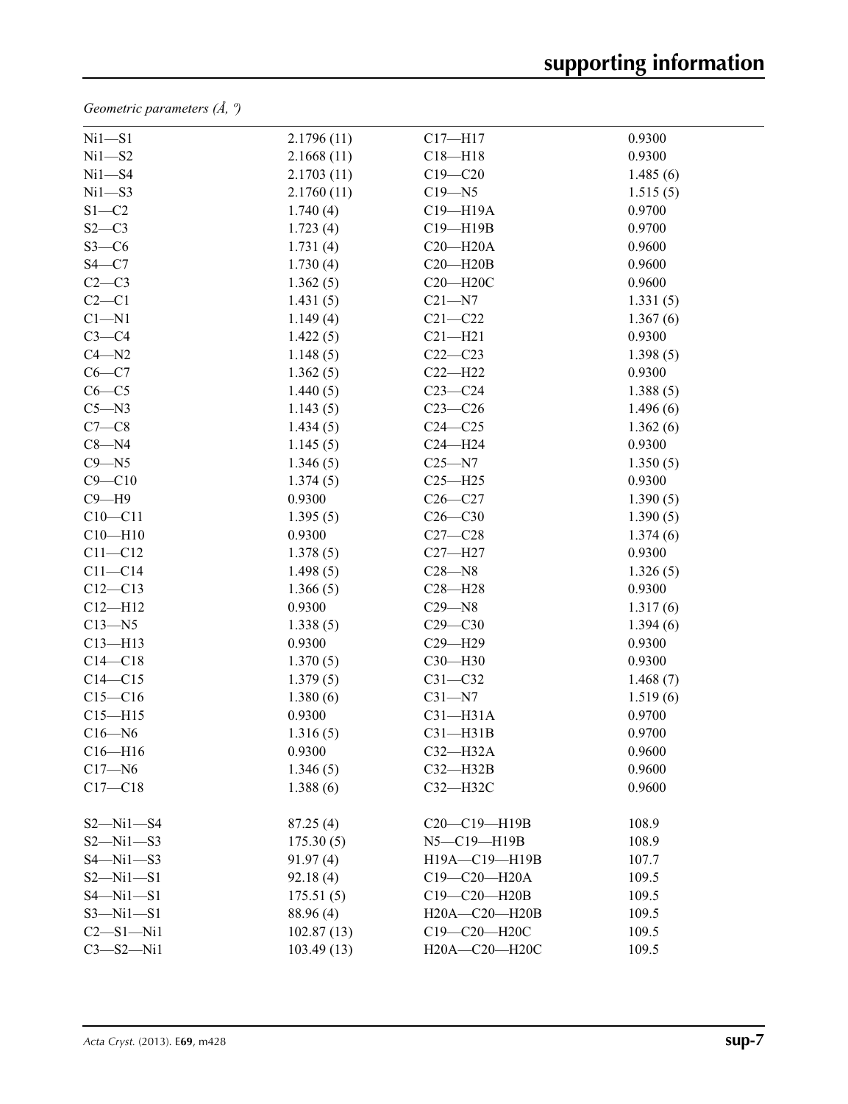*Geometric parameters (Å, º)*

| $Ni1-S1$        | 2.1796(11) | $C17 - H17$   | 0.9300   |
|-----------------|------------|---------------|----------|
| $Ni1 - S2$      | 2.1668(11) | $C18 - H18$   | 0.9300   |
| $Ni1 - S4$      | 2.1703(11) | $C19 - C20$   | 1.485(6) |
| $Ni1 - S3$      | 2.1760(11) | $C19 - N5$    | 1.515(5) |
| $S1 - C2$       | 1.740(4)   | C19-H19A      | 0.9700   |
| $S2-C3$         | 1.723(4)   | C19-H19B      | 0.9700   |
| $S3-C6$         | 1.731(4)   | $C20 - H20A$  | 0.9600   |
| $S4 - C7$       | 1.730(4)   | $C20 - H20B$  | 0.9600   |
| $C2-C3$         | 1.362(5)   | C20-H20C      | 0.9600   |
| $C2-C1$         | 1.431(5)   | $C21 - N7$    | 1.331(5) |
| $C1 - N1$       | 1.149(4)   | $C21 - C22$   | 1.367(6) |
| $C3-C4$         | 1.422(5)   | $C21 - H21$   | 0.9300   |
| $C4 - N2$       | 1.148(5)   | $C22-C23$     | 1.398(5) |
| $C6-C7$         | 1.362(5)   | $C22 - H22$   | 0.9300   |
| $C6-C5$         | 1.440(5)   | $C23-C24$     | 1.388(5) |
| $C5 - N3$       | 1.143(5)   | $C23-C26$     | 1.496(6) |
| $C7-C8$         | 1.434(5)   | $C24 - C25$   | 1.362(6) |
| $C8 - N4$       | 1.145(5)   | $C24 - H24$   | 0.9300   |
| $C9 - N5$       | 1.346(5)   | $C25 - N7$    | 1.350(5) |
| $C9 - C10$      | 1.374(5)   | $C25 - H25$   | 0.9300   |
| $C9 - H9$       | 0.9300     | $C26-C27$     | 1.390(5) |
| $C10 - C11$     | 1.395(5)   | $C26-C30$     | 1.390(5) |
| $C10 - H10$     | 0.9300     | $C27 - C28$   | 1.374(6) |
| $C11 - C12$     | 1.378(5)   | $C27 - H27$   | 0.9300   |
| $C11 - C14$     | 1.498(5)   | $C28 - N8$    | 1.326(5) |
| $C12 - C13$     | 1.366(5)   | $C28 - H28$   | 0.9300   |
| $C12 - H12$     | 0.9300     | $C29 - N8$    | 1.317(6) |
| $C13 - N5$      | 1.338(5)   | $C29 - C30$   | 1.394(6) |
| $C13 - H13$     | 0.9300     | C29-H29       | 0.9300   |
| $C14-C18$       | 1.370(5)   | C30-H30       | 0.9300   |
| $C14 - C15$     | 1.379(5)   | $C31 - C32$   | 1.468(7) |
| $C15 - C16$     | 1.380(6)   | $C31 - N7$    | 1.519(6) |
| $C15 - H15$     | 0.9300     | $C31 - H31A$  | 0.9700   |
| $C16 - N6$      | 1.316(5)   | $C31 - H31B$  | 0.9700   |
| $C16 - H16$     | 0.9300     | $C32-H32A$    | 0.9600   |
| $C17 - N6$      | 1.346(5)   | $C32-H32B$    | 0.9600   |
| $C17 - C18$     | 1.388(6)   | C32-H32C      | 0.9600   |
|                 |            |               |          |
| $S2 - Ni1 - S4$ | 87.25(4)   | C20-C19-H19B  | 108.9    |
| $S2 - Ni1 - S3$ | 175.30(5)  | N5-C19-H19B   | 108.9    |
| $S4 - Ni1 - S3$ | 91.97(4)   | H19A-C19-H19B | 107.7    |
| $S2 - Ni1 - S1$ | 92.18(4)   | C19-C20-H20A  | 109.5    |
| $S4 - Ni1 - S1$ | 175.51(5)  | C19-C20-H20B  | 109.5    |
| $S3 - Ni1 - S1$ | 88.96 (4)  | H20A-C20-H20B | 109.5    |
| $C2 - S1 - Ni1$ | 102.87(13) | C19-C20-H20C  | 109.5    |
| $C3 - S2 - N11$ | 103.49(13) | H20A-C20-H20C | 109.5    |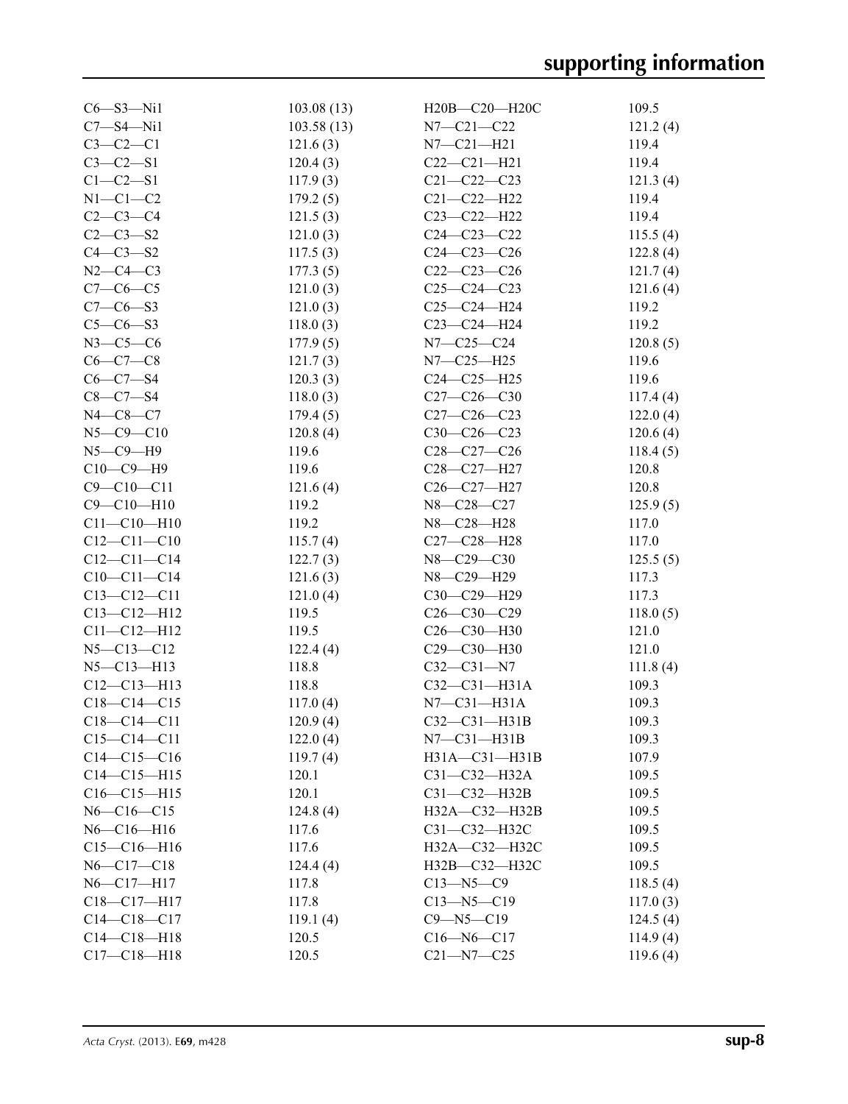| $C6 - S3 - N11$                        | 103.08(13) | H20B-C20-H20C       | 109.5    |
|----------------------------------------|------------|---------------------|----------|
| $C7 - S4 - N11$                        | 103.58(13) | $N7 - C21 - C22$    | 121.2(4) |
| $C3-C2-C1$                             | 121.6(3)   | $N7 - C21 - H21$    | 119.4    |
| $C3-C2-S1$                             | 120.4(3)   | $C22-C21-H21$       | 119.4    |
| $C1 - C2 - S1$                         | 117.9(3)   | $C21 - C22 - C23$   | 121.3(4) |
| $N1-C1-C2$                             | 179.2(5)   | $C21 - C22 - H22$   | 119.4    |
| $C2-C3-C4$                             | 121.5(3)   | $C23 - C22 - H22$   | 119.4    |
| $C2 - C3 - S2$                         | 121.0(3)   | $C24 - C23 - C22$   | 115.5(4) |
| $C4-C3-S2$                             | 117.5(3)   | $C24 - C23 - C26$   | 122.8(4) |
| $N2-C4-C3$                             | 177.3(5)   | $C22-C23-C26$       | 121.7(4) |
| $C7-C6-C5$                             | 121.0(3)   | $C25-C24-C23$       | 121.6(4) |
| $C7 - C6 - S3$                         | 121.0(3)   | $C25-C24-H24$       | 119.2    |
| $C5 - C6 - S3$                         | 118.0(3)   | C23-C24-H24         | 119.2    |
| $N3-C5-C6$                             | 177.9(5)   | $N7 - C25 - C24$    | 120.8(5) |
| $C6-C7-C8$                             | 121.7(3)   | $N7 - C25 - H25$    | 119.6    |
| $C6 - C7 - S4$                         | 120.3(3)   | $C24 - C25 - H25$   | 119.6    |
| $C8 - C7 - S4$                         | 118.0(3)   | $C27-C26-C30$       | 117.4(4) |
| $N4 - C8 - C7$                         | 179.4(5)   | $C27 - C26 - C23$   | 122.0(4) |
| $N5 - C9 - C10$                        | 120.8(4)   | $C30-C26-C23$       | 120.6(4) |
| $N5 - C9 - H9$                         | 119.6      | $C28 - C27 - C26$   | 118.4(5) |
| $C10-C9-H9$                            | 119.6      | C28-C27-H27         | 120.8    |
| $C9 - C10 - C11$                       | 121.6(4)   | C26-C27-H27         | 120.8    |
| $C9 - C10 - H10$                       | 119.2      | N8-C28-C27          | 125.9(5) |
| $C11 - C10 - H10$                      | 119.2      | N8-C28-H28          | 117.0    |
|                                        |            |                     |          |
| $C12 - C11 - C10$<br>$C12 - C11 - C14$ | 115.7(4)   | C27-C28-H28         | 117.0    |
|                                        | 122.7(3)   | N8-C29-C30          | 125.5(5) |
| $C10-C11-C14$                          | 121.6(3)   | N8-C29-H29          | 117.3    |
| $C13 - C12 - C11$                      | 121.0(4)   | C30-C29-H29         | 117.3    |
| $C13 - C12 - H12$                      | 119.5      | $C26-C30-C29$       | 118.0(5) |
| $C11 - C12 - H12$                      | 119.5      | C26-C30-H30         | 121.0    |
| $N5 - C13 - C12$                       | 122.4(4)   | C29-C30-H30         | 121.0    |
| $N5 - C13 - H13$                       | 118.8      | $C32 - C31 - N7$    | 111.8(4) |
| $C12-C13-H13$                          | 118.8      | $C32 - C31 - H31A$  | 109.3    |
| $C18-C14-C15$                          | 117.0(4)   | $N7-C31-H31A$       | 109.3    |
| $C18-C14-C11$                          | 120.9(4)   | $C32-C31-H31B$      | 109.3    |
| $C15 - C14 - C11$                      | 122.0(4)   | $N7$ — $C31$ —H31B  | 109.3    |
| $C14-C15-C16$                          | 119.7(4)   | $H31A - C31 - H31B$ | 107.9    |
| $C14 - C15 - H15$                      | 120.1      | $C31 - C32 - H32A$  | 109.5    |
| $C16 - C15 - H15$                      | 120.1      | $C31 - C32 - H32B$  | 109.5    |
| $N6 - C16 - C15$                       | 124.8(4)   | $H32A - C32 - H32B$ | 109.5    |
| $N6 - C16 - H16$                       | 117.6      | C31-C32-H32C        | 109.5    |
| $C15-C16-H16$                          | 117.6      | H32A-C32-H32C       | 109.5    |
| $N6 - C17 - C18$                       | 124.4(4)   | H32B-C32-H32C       | 109.5    |
| $N6 - C17 - H17$                       | 117.8      | $C13 - N5 - C9$     | 118.5(4) |
| C18-C17-H17                            | 117.8      | $C13 - N5 - C19$    | 117.0(3) |
| $C14-C18-C17$                          | 119.1(4)   | $C9 - N5 - C19$     | 124.5(4) |
| $C14-C18-H18$                          | 120.5      | $C16 - N6 - C17$    | 114.9(4) |
| $C17 - C18 - H18$                      | 120.5      | $C21 - N7 - C25$    | 119.6(4) |